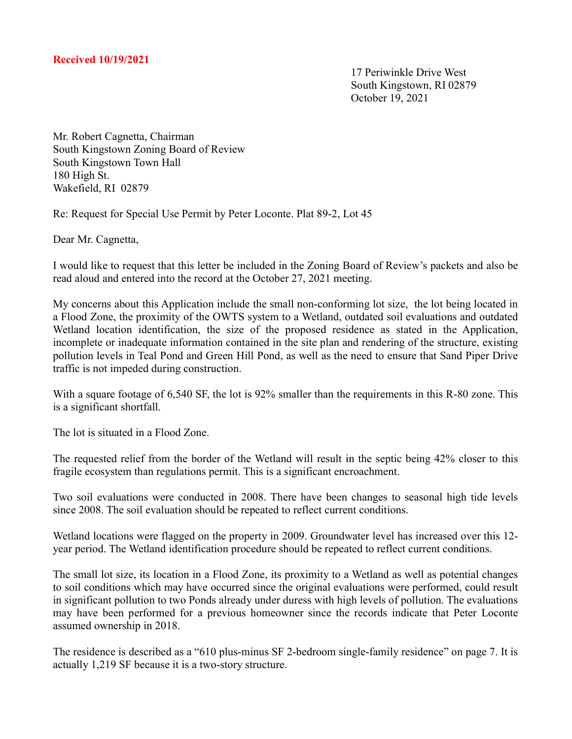17 Periwinkle Drive West South Kingstown, RI 02879 October 19, 2021

Mr. Robert Cagnetta, Chairman South Kingstown Zoning Board of Review South Kingstown Town Hall 180 High St. Wakefield, RI 02879

Re: Request for Special Use Permit by Peter Loconte. Plat 89-2, Lot 45

Dear Mr. Cagnetta,

I would like to request that this letter be included in the Zoning Board of Review's packets and also be read aloud and entered into the record at the October 27, 2021 meeting.

My concerns about this Application include the small non-conforming lot size, the lot being located in a Flood Zone, the proximity of the OWTS system to a Wetland, outdated soil evaluations and outdated Wetland location identification, the size of the proposed residence as stated in the Application, incomplete or inadequate information contained in the site plan and rendering of the structure, existing pollution levels in Teal Pond and Green Hill Pond, as well as the need to ensure that Sand Piper Drive traffic is not impeded during construction.

With a square footage of 6,540 SF, the lot is 92% smaller than the requirements in this R-80 zone. This is a significant shortfall.

The lot is situated in a Flood Zone.

The requested relief from the border of the Wetland will result in the septic being 42% closer to this fragile ecosystem than regulations permit. This is a significant encroachment.

Two soil evaluations were conducted in 2008. There have been changes to seasonal high tide levels since 2008. The soil evaluation should be repeated to reflect current conditions.

Wetland locations were flagged on the property in 2009. Groundwater level has increased over this 12 year period. The Wetland identification procedure should be repeated to reflect current conditions.

The small lot size, its location in a Flood Zone, its proximity to a Wetland as well as potential changes to soil conditions which may have occurred since the original evaluations were performed, could result in significant pollution to two Ponds already under duress with high levels of pollution. The evaluations may have been performed for a previous homeowner since the records indicate that Peter Loconte assumed ownership in 2018.

The residence is described as a "610 plus-minus SF 2-bedroom single-family residence" on page 7. It is actually 1,219 SF because it is a two-story structure.